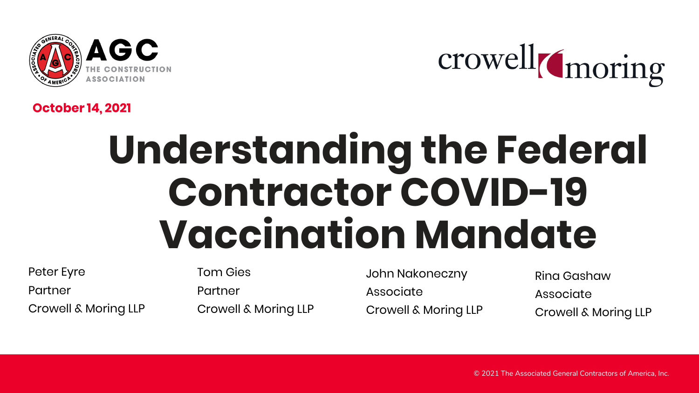



#### **October 14, 2021**

# **Understanding the Federal Contractor COVID-19 Vaccination Mandate**

Peter Eyre Partner Crowell & Moring LLP Tom Gies Partner Crowell & Moring LLP

John Nakoneczny Associate Crowell & Moring LLP Rina Gashaw Associate Crowell & Moring LLP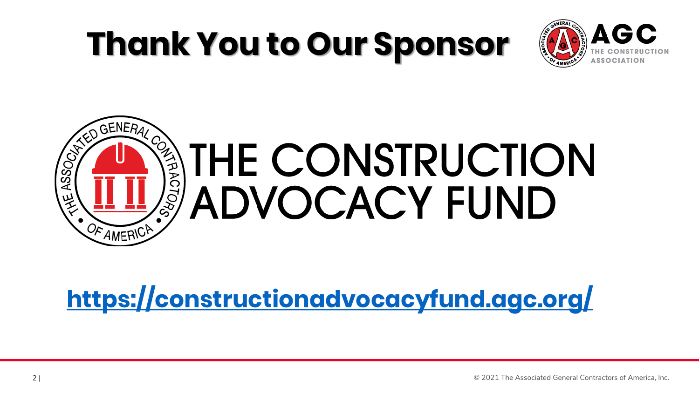## **Thank You to Our Sponsor**





**<https://constructionadvocacyfund.agc.org/>**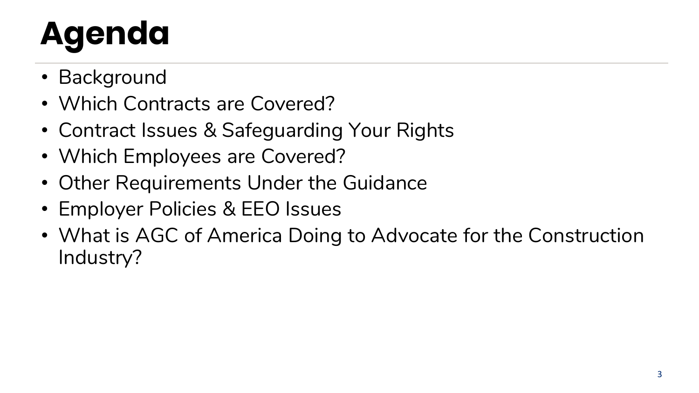# **Agenda**

- Background
- Which Contracts are Covered?
- Contract Issues & Safeguarding Your Rights
- Which Employees are Covered?
- Other Requirements Under the Guidance
- Employer Policies & EEO Issues
- What is AGC of America Doing to Advocate for the Construction Industry?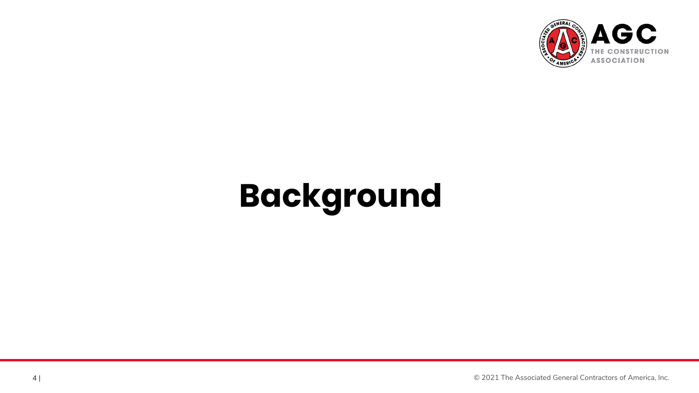

## **Background**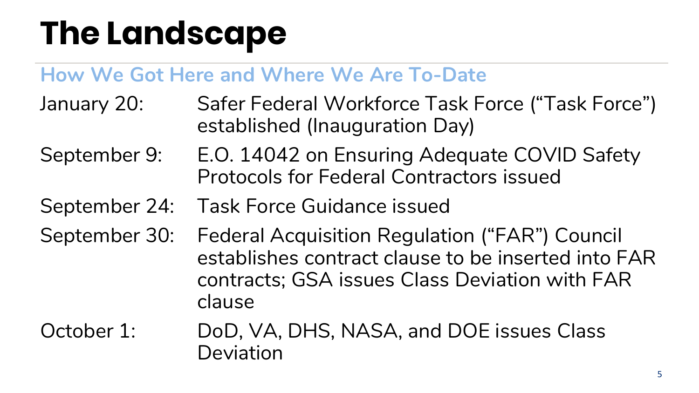### **The Landscape**

#### **How We Got Here and Where We Are To-Date**

- January 20: Safer Federal Workforce Task Force ("Task Force") established (Inauguration Day)
- September 9: E.O. 14042 on Ensuring Adequate COVID Safety Protocols for Federal Contractors issued
- September 24: Task Force Guidance issued
- September 30: Federal Acquisition Regulation ("FAR") Council establishes contract clause to be inserted into FAR contracts; GSA issues Class Deviation with FAR clause
- October 1: DoD, VA, DHS, NASA, and DOE issues Class Deviation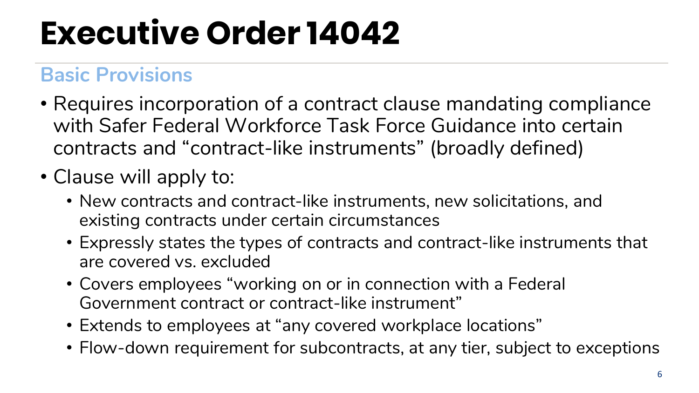## **Executive Order 14042**

#### **Basic Provisions**

- Requires incorporation of a contract clause mandating compliance with Safer Federal Workforce Task Force Guidance into certain contracts and "contract-like instruments" (broadly defined)
- Clause will apply to:
	- New contracts and contract-like instruments, new solicitations, and existing contracts under certain circumstances
	- Expressly states the types of contracts and contract-like instruments that are covered vs. excluded
	- Covers employees "working on or in connection with a Federal Government contract or contract-like instrument"
	- Extends to employees at "any covered workplace locations"
	- Flow-down requirement for subcontracts, at any tier, subject to exceptions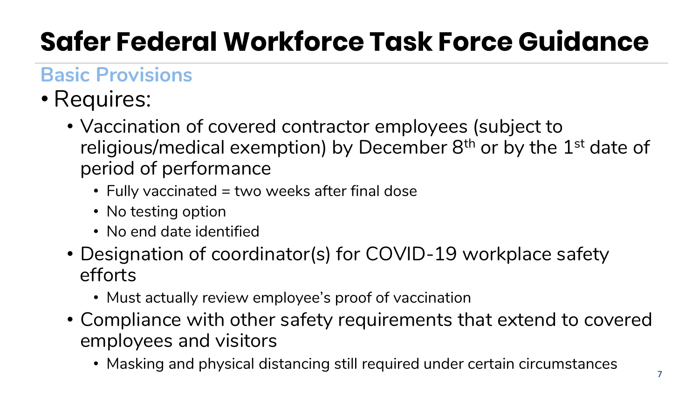### **Safer Federal Workforce Task Force Guidance**

### **Basic Provisions**

- Requires:
	- Vaccination of covered contractor employees (subject to religious/medical exemption) by December  $8<sup>th</sup>$  or by the  $1<sup>st</sup>$  date of period of performance
		- Fully vaccinated = two weeks after final dose
		- No testing option
		- No end date identified
	- Designation of coordinator(s) for COVID-19 workplace safety efforts
		- Must actually review employee's proof of vaccination
	- Compliance with other safety requirements that extend to covered employees and visitors
		- Masking and physical distancing still required under certain circumstances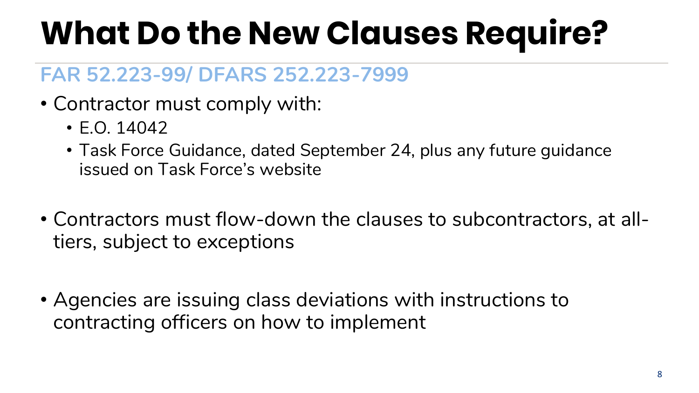## **What Do the New Clauses Require?**

#### **FAR 52.223-99/ DFARS 252.223-7999**

- Contractor must comply with:
	- E.O. 14042
	- Task Force Guidance, dated September 24, plus any future guidance issued on Task Force's website
- Contractors must flow-down the clauses to subcontractors, at alltiers, subject to exceptions
- Agencies are issuing class deviations with instructions to contracting officers on how to implement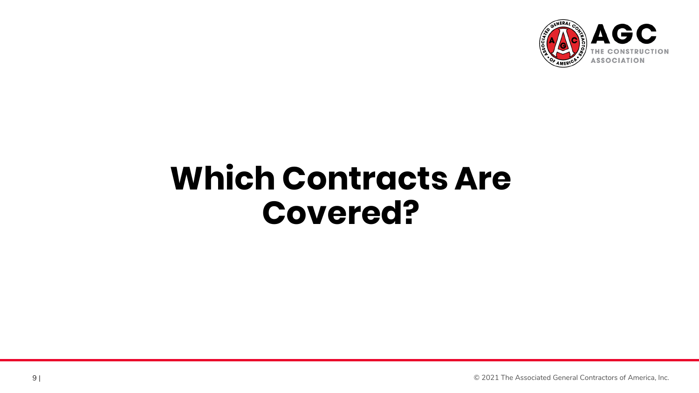

### **Which Contracts Are Covered?**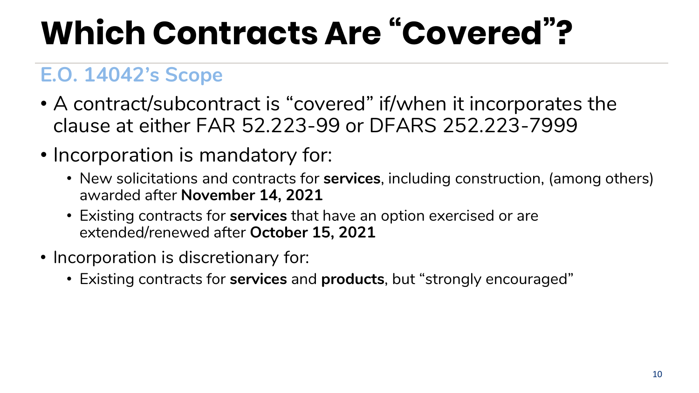## **Which Contracts Are "Covered"?**

#### **E.O. 14042's Scope**

- A contract/subcontract is "covered" if/when it incorporates the clause at either FAR 52.223-99 or DFARS 252.223-7999
- Incorporation is mandatory for:
	- New solicitations and contracts for **services**, including construction, (among others) awarded after **November 14, 2021**
	- Existing contracts for **services** that have an option exercised or are extended/renewed after **October 15, 2021**
- Incorporation is discretionary for:
	- Existing contracts for **services** and **products**, but "strongly encouraged"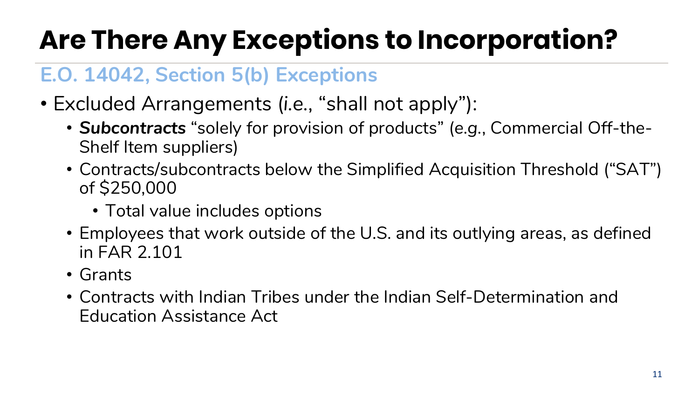### **Are There Any Exceptions to Incorporation?**

#### **E.O. 14042, Section 5(b) Exceptions**

- Excluded Arrangements (*i.e.*, "shall not apply"):
	- *Subcontracts* "solely for provision of products" (*e.g.*, Commercial Off-the-Shelf Item suppliers)
	- Contracts/subcontracts below the Simplified Acquisition Threshold ("SAT") of \$250,000
		- Total value includes options
	- Employees that work outside of the U.S. and its outlying areas, as defined in FAR 2.101
	- Grants
	- Contracts with Indian Tribes under the Indian Self-Determination and Education Assistance Act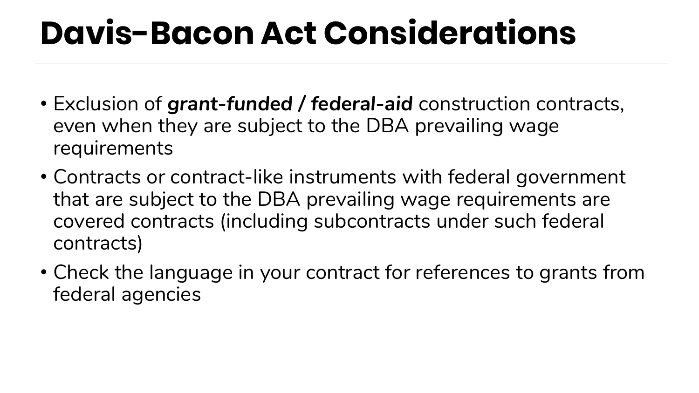### **Davis-Bacon Act Considerations**

- Exclusion of *grant-funded / federal-aid* construction contracts, even when they are subject to the DBA prevailing wage requirements
- Contracts or contract-like instruments with federal government that are subject to the DBA prevailing wage requirements are covered contracts (including subcontracts under such federal contracts)
- Check the language in your contract for references to grants from federal agencies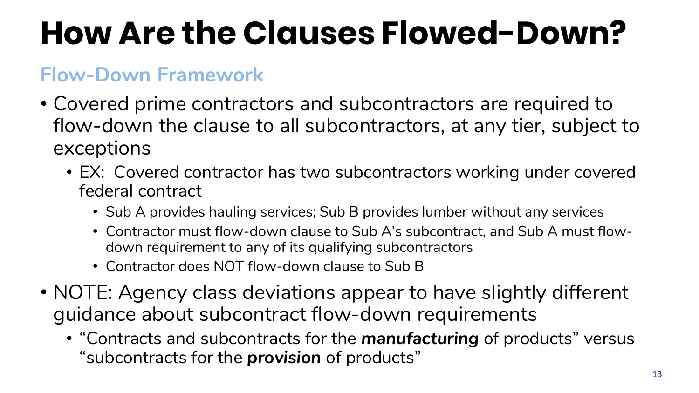## **How Are the Clauses Flowed-Down?**

#### **Flow-Down Framework**

- Covered prime contractors and subcontractors are required to flow-down the clause to all subcontractors, at any tier, subject to exceptions
	- EX: Covered contractor has two subcontractors working under covered federal contract
		- Sub A provides hauling services; Sub B provides lumber without any services
		- Contractor must flow-down clause to Sub A's subcontract, and Sub A must flowdown requirement to any of its qualifying subcontractors
		- Contractor does NOT flow-down clause to Sub B
- NOTE: Agency class deviations appear to have slightly different guidance about subcontract flow-down requirements
	- "Contracts and subcontracts for the *manufacturing* of products" versus "subcontracts for the *provision* of products"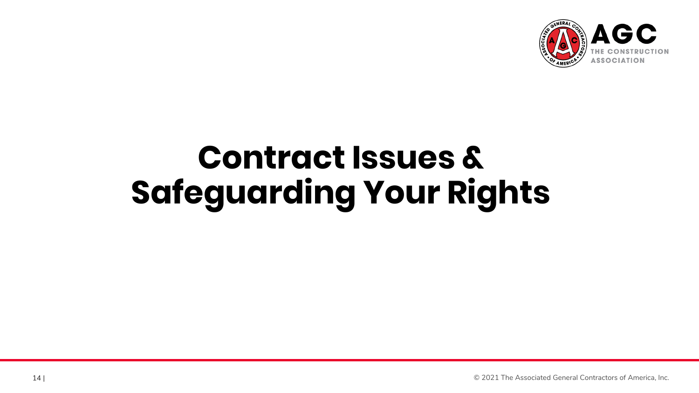

### **Contract Issues & Safeguarding Your Rights**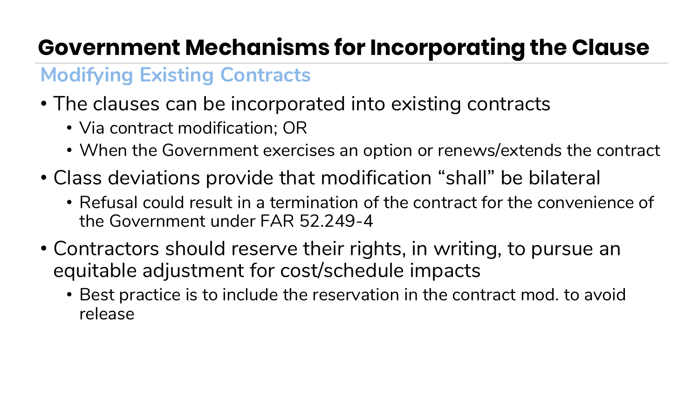### **Government Mechanisms for Incorporating the Clause**

#### **Modifying Existing Contracts**

- The clauses can be incorporated into existing contracts
	- Via contract modification; OR
	- When the Government exercises an option or renews/extends the contract
- Class deviations provide that modification "shall" be bilateral
	- Refusal could result in a termination of the contract for the convenience of the Government under FAR 52.249-4
- Contractors should reserve their rights, in writing, to pursue an equitable adjustment for cost/schedule impacts
	- Best practice is to include the reservation in the contract mod. to avoid release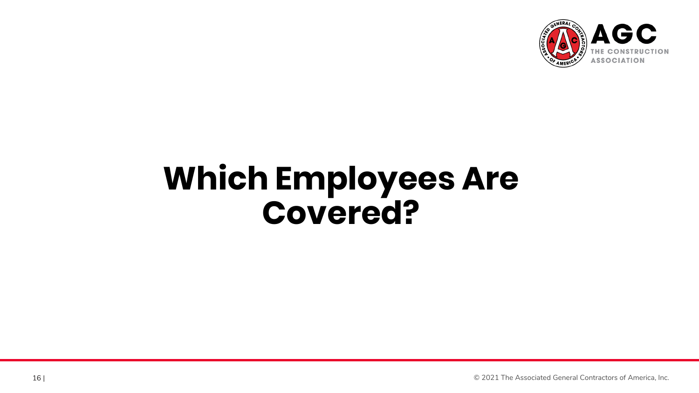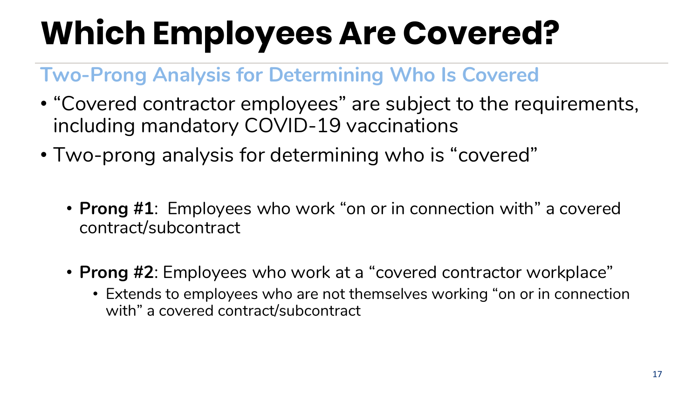#### **Two-Prong Analysis for Determining Who Is Covered**

- "Covered contractor employees" are subject to the requirements, including mandatory COVID-19 vaccinations
- Two-prong analysis for determining who is "covered"
	- **Prong #1**: Employees who work "on or in connection with" a covered contract/subcontract
	- **Prong #2**: Employees who work at a "covered contractor workplace"
		- Extends to employees who are not themselves working "on or in connection with" a covered contract/subcontract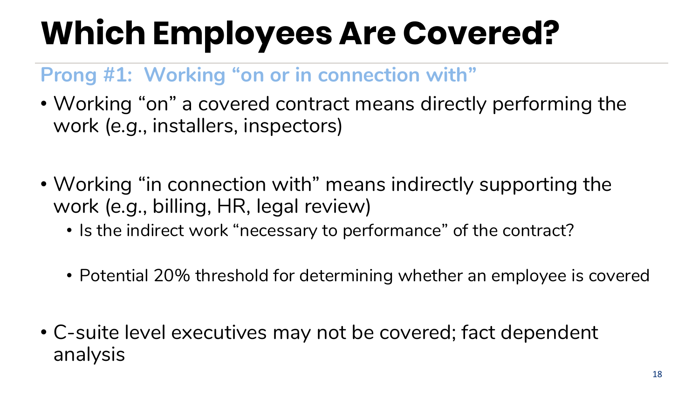#### **Prong #1: Working "on or in connection with"**

- Working "on" a covered contract means directly performing the work (*e.g.*, installers, inspectors)
- Working "in connection with" means indirectly supporting the work (*e.g.*, billing, HR, legal review)
	- Is the indirect work "necessary to performance" of the contract?
	- Potential 20% threshold for determining whether an employee is covered
- C-suite level executives may not be covered; fact dependent analysis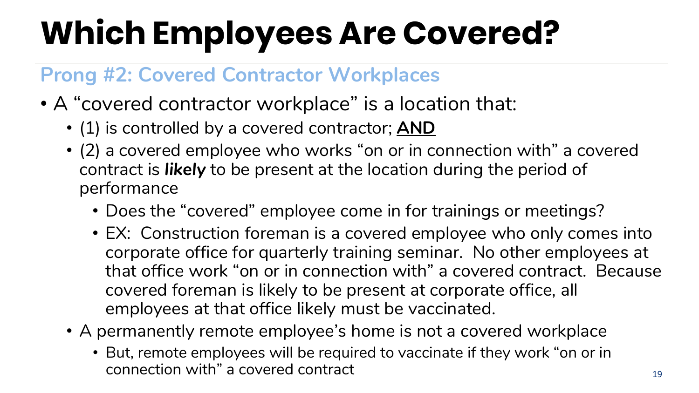#### **Prong #2: Covered Contractor Workplaces**

- A "covered contractor workplace" is a location that:
	- (1) is controlled by a covered contractor; **AND**
	- (2) a covered employee who works "on or in connection with" a covered contract is *likely* to be present at the location during the period of performance
		- Does the "covered" employee come in for trainings or meetings?
		- EX: Construction foreman is a covered employee who only comes into corporate office for quarterly training seminar. No other employees at that office work "on or in connection with" a covered contract. Because covered foreman is likely to be present at corporate office, all employees at that office likely must be vaccinated.
	- A permanently remote employee's home is not a covered workplace
		- But, remote employees will be required to vaccinate if they work "on or in connection with" a covered contract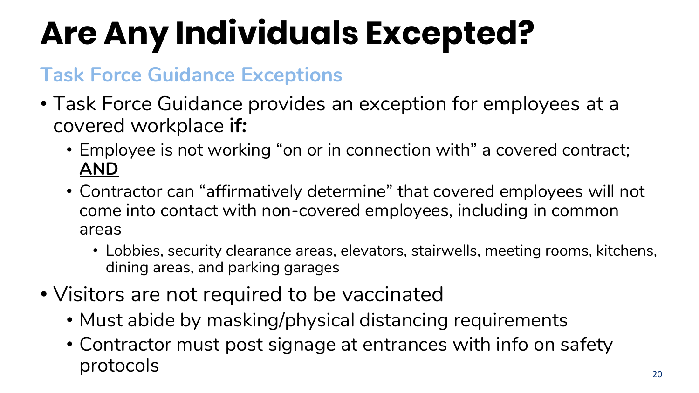## **Are Any Individuals Excepted?**

#### **Task Force Guidance Exceptions**

- Task Force Guidance provides an exception for employees at a covered workplace **if***:*
	- Employee is not working "on or in connection with" a covered contract; **AND**
	- Contractor can "affirmatively determine" that covered employees will not come into contact with non-covered employees, including in common areas
		- Lobbies, security clearance areas, elevators, stairwells, meeting rooms, kitchens, dining areas, and parking garages
- Visitors are not required to be vaccinated
	- Must abide by masking/physical distancing requirements
	- Contractor must post signage at entrances with info on safety protocols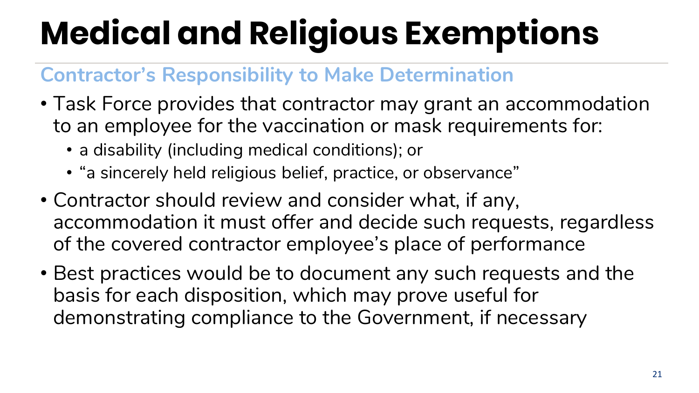# **Medical and Religious Exemptions**

#### **Contractor's Responsibility to Make Determination**

- Task Force provides that contractor may grant an accommodation to an employee for the vaccination or mask requirements for:
	- a disability (including medical conditions); or
	- "a sincerely held religious belief, practice, or observance"
- Contractor should review and consider what, if any, accommodation it must offer and decide such requests, regardless of the covered contractor employee's place of performance
- Best practices would be to document any such requests and the basis for each disposition, which may prove useful for demonstrating compliance to the Government, if necessary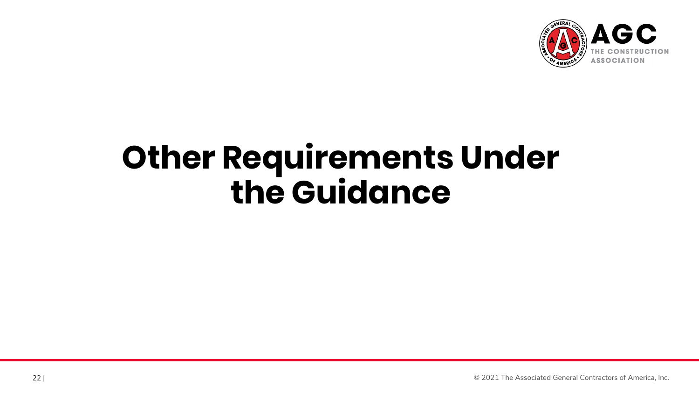

### **Other Requirements Under the Guidance**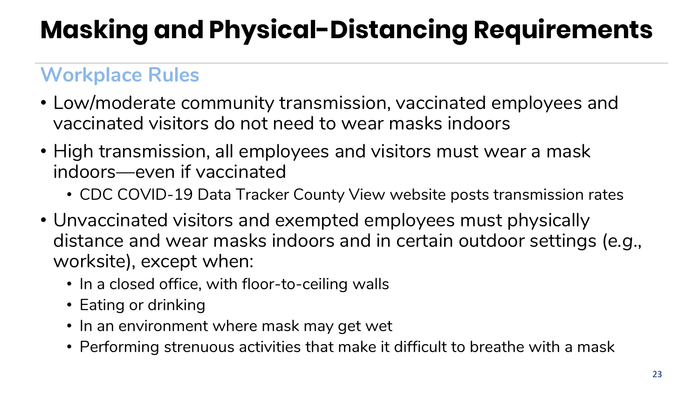### **Masking and Physical-Distancing Requirements**

#### **Workplace Rules**

- Low/moderate community transmission, vaccinated employees and vaccinated visitors do not need to wear masks indoors
- High transmission, all employees and visitors must wear a mask indoors—even if vaccinated
	- CDC COVID-19 Data Tracker County View website posts transmission rates
- Unvaccinated visitors and exempted employees must physically distance and wear masks indoors and in certain outdoor settings (*e.g*., worksite), except when:
	- In a closed office, with floor-to-ceiling walls
	- Eating or drinking
	- In an environment where mask may get wet
	- Performing strenuous activities that make it difficult to breathe with a mask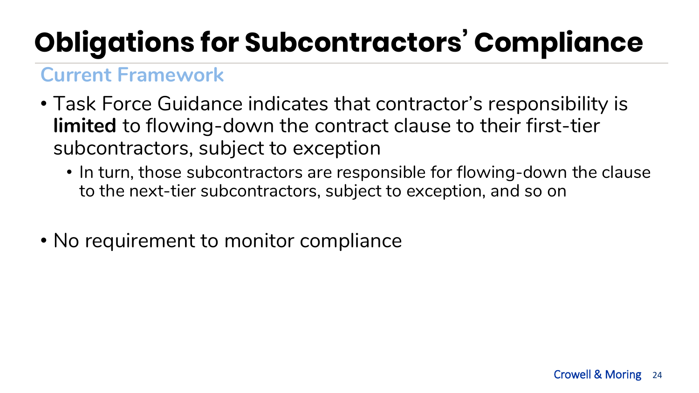### **Obligations for Subcontractors' Compliance**

#### **Current Framework**

- Task Force Guidance indicates that contractor's responsibility is **limited** to flowing-down the contract clause to their first-tier subcontractors, subject to exception
	- In turn, those subcontractors are responsible for flowing-down the clause to the next-tier subcontractors, subject to exception, and so on
- No requirement to monitor compliance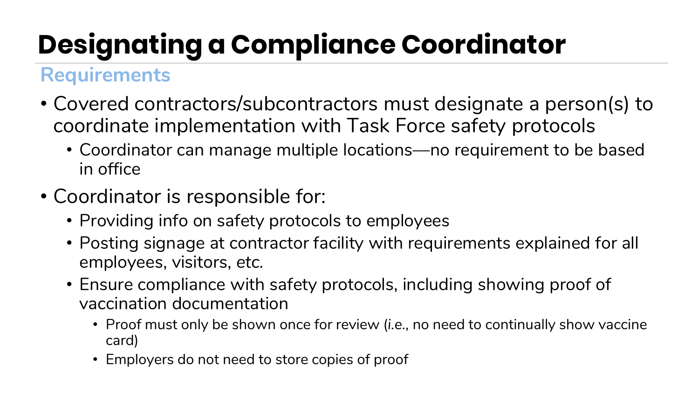### **Designating a Compliance Coordinator**

#### **Requirements**

- Covered contractors/subcontractors must designate a person(s) to coordinate implementation with Task Force safety protocols
	- Coordinator can manage multiple locations—no requirement to be based in office
- Coordinator is responsible for:
	- Providing info on safety protocols to employees
	- Posting signage at contractor facility with requirements explained for all employees, visitors, *etc.*
	- Ensure compliance with safety protocols, including showing proof of vaccination documentation
		- Proof must only be shown once for review (*i.e.*, no need to continually show vaccine card)
		- Employers do not need to store copies of proof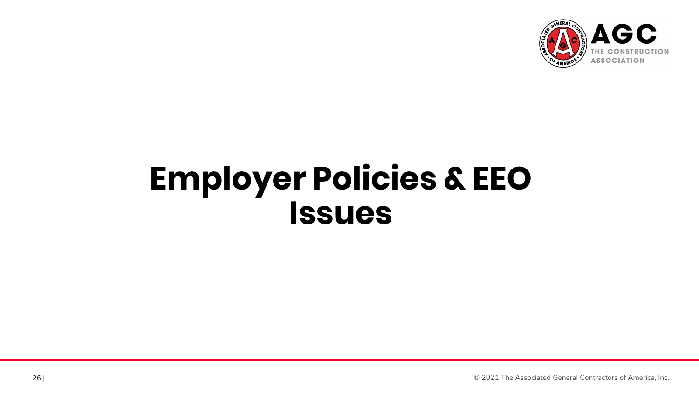

### **Employer Policies & EEO Issues**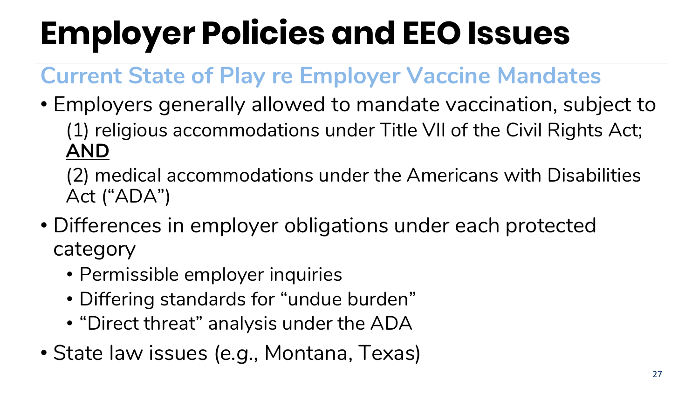## **Employer Policies and EEO Issues**

### **Current State of Play re Employer Vaccine Mandates**

- Employers generally allowed to mandate vaccination, subject to (1) religious accommodations under Title VII of the Civil Rights Act; **AND**
	- (2) medical accommodations under the Americans with Disabilities Act ("ADA")
- Differences in employer obligations under each protected category
	- Permissible employer inquiries
	- Differing standards for "undue burden"
	- "Direct threat" analysis under the ADA
- State law issues (*e.g.*, Montana, Texas)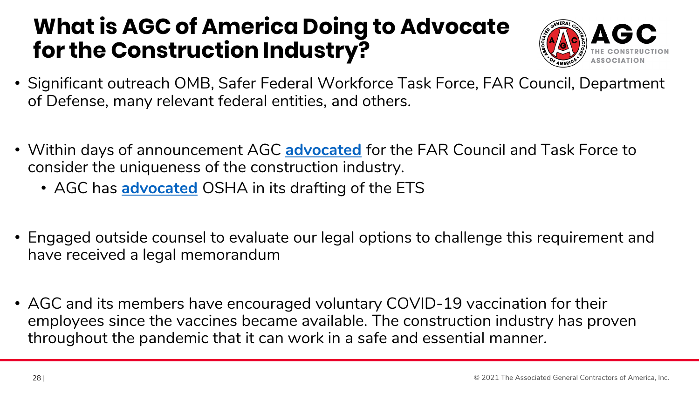### **What is AGC of America Doing to Advocate for the Construction Industry?**



- Significant outreach OMB, Safer Federal Workforce Task Force, FAR Council, Department of Defense, many relevant federal entities, and others.
- Within days of announcement AGC **[advocated](https://www.agc.org/sites/default/files/Files/Govt%20Regulations%20and%20Executive%20Orders/AGC%20Letter%20to%20Task%20Force%20and%20FAR%20Council%20on%20COVID-19%20Vaccine%20Mandate.pdf?utm_source=informz&utm_medium=email&utm_campaign=informz_email&_zs=H6fnc1&_zl=hxpt7)** for the FAR Council and Task Force to consider the uniqueness of the construction industry.
	- AGC has **[advocated](https://www.agc.org/sites/default/files/Files/Govt%20Regulations%20and%20Executive%20Orders/AGC%20Letter%20to%20USDOL%20Sec.%20Walsh%20re%20Testing%20Mandate%209.18.21.pdf?utm_source=informz&utm_medium=email&utm_campaign=informz_email&_zs=H6fnc1&_zl=a2qt7&utm_source=informz&utm_medium=email&utm_campaign=informz_email)** OSHA in its drafting of the ETS
- Engaged outside counsel to evaluate our legal options to challenge this requirement and have received a legal memorandum
- AGC and its members have encouraged voluntary COVID-19 vaccination for their employees since the vaccines became available. The construction industry has proven throughout the pandemic that it can work in a safe and essential manner.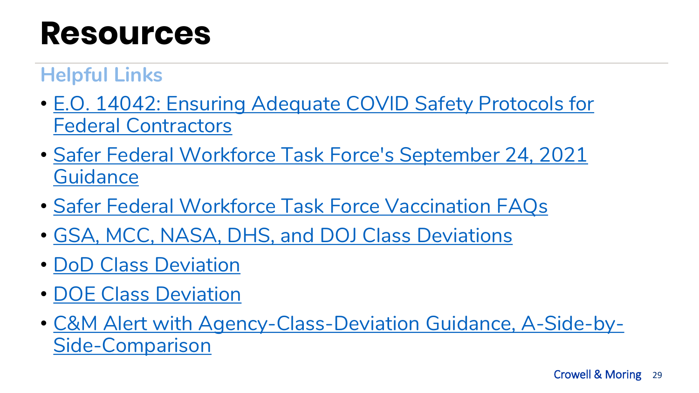### **Resources**

#### **Helpful Links**

- [E.O. 14042: Ensuring Adequate COVID Safety Protocols for](https://www.federalregister.gov/documents/2021/09/14/2021-19924/ensuring-adequate-covid-safety-protocols-for-federal-contractors) Federal Contractors
- [Safer Federal Workforce Task Force's September 24, 2021](https://www.saferfederalworkforce.gov/downloads/Draft%20contractor%20guidance%20doc_20210922.pdf) **Guidance**
- [Safer Federal Workforce Task Force Vaccination FAQs](https://www.saferfederalworkforce.gov/faq/vaccinations/)
- [GSA, MCC, NASA, DHS, and DOJ Class Deviations](https://www.acquisition.gov/content/caac-letters)
- [DoD Class Deviation](https://www.acq.osd.mil/dpap/policy/policyvault/USA001998-21-DPC.pdf)
- [DOE Class Deviation](https://www.energy.gov/sites/default/files/2021-10/Class%20Dev%20DF%20EO%2014042%20-%20SKH%20Signed%201%20Oct%202021%20JRB%20Signed%2010012021_0.pdf)
- [C&M Alert with Agency-Class-Deviation Guidance, A-Side-by-](https://www.crowell.com/NewsEvents/AlertsNewsletters/all/Executive-Order-14042-Agency-Class-Deviation-Guidance-A-Side-by-Side-Comparison)Side-Comparison